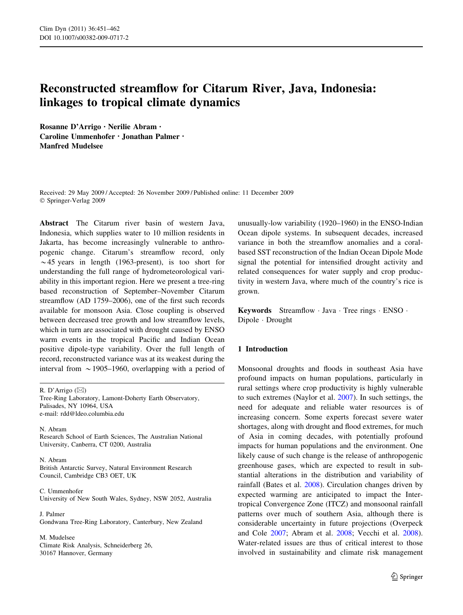# Reconstructed streamflow for Citarum River, Java, Indonesia: linkages to tropical climate dynamics

Rosanne D'Arrigo • Nerilie Abram • Caroline Ummenhofer • Jonathan Palmer • Manfred Mudelsee

Received: 29 May 2009 / Accepted: 26 November 2009 / Published online: 11 December 2009 © Springer-Verlag 2009

Abstract The Citarum river basin of western Java, Indonesia, which supplies water to 10 million residents in Jakarta, has become increasingly vulnerable to anthropogenic change. Citarum's streamflow record, only  $\sim$  45 years in length (1963-present), is too short for understanding the full range of hydrometeorological variability in this important region. Here we present a tree-ring based reconstruction of September–November Citarum streamflow (AD 1759–2006), one of the first such records available for monsoon Asia. Close coupling is observed between decreased tree growth and low streamflow levels, which in turn are associated with drought caused by ENSO warm events in the tropical Pacific and Indian Ocean positive dipole-type variability. Over the full length of record, reconstructed variance was at its weakest during the interval from  $\sim$  1905–1960, overlapping with a period of

R. D'Arrigo (⊠) Tree-Ring Laboratory, Lamont-Doherty Earth Observatory, Palisades, NY 10964, USA e-mail: rdd@ldeo.columbia.edu

N. Abram Research School of Earth Sciences, The Australian National University, Canberra, CT 0200, Australia

N. Abram British Antarctic Survey, Natural Environment Research Council, Cambridge CB3 OET, UK

C. Ummenhofer University of New South Wales, Sydney, NSW 2052, Australia

J. Palmer Gondwana Tree-Ring Laboratory, Canterbury, New Zealand

M. Mudelsee Climate Risk Analysis, Schneiderberg 26, 30167 Hannover, Germany

unusually-low variability (1920–1960) in the ENSO-Indian Ocean dipole systems. In subsequent decades, increased variance in both the streamflow anomalies and a coralbased SST reconstruction of the Indian Ocean Dipole Mode signal the potential for intensified drought activity and related consequences for water supply and crop productivity in western Java, where much of the country's rice is grown.

Keywords Streamflow · Java · Tree rings · ENSO · Dipole - Drought

# 1 Introduction

Monsoonal droughts and floods in southeast Asia have profound impacts on human populations, particularly in rural settings where crop productivity is highly vulnerable to such extremes (Naylor et al. [2007\)](#page-10-0). In such settings, the need for adequate and reliable water resources is of increasing concern. Some experts forecast severe water shortages, along with drought and flood extremes, for much of Asia in coming decades, with potentially profound impacts for human populations and the environment. One likely cause of such change is the release of anthropogenic greenhouse gases, which are expected to result in substantial alterations in the distribution and variability of rainfall (Bates et al. [2008\)](#page-9-0). Circulation changes driven by expected warming are anticipated to impact the Intertropical Convergence Zone (ITCZ) and monsoonal rainfall patterns over much of southern Asia, although there is considerable uncertainty in future projections (Overpeck and Cole [2007](#page-10-0); Abram et al. [2008;](#page-9-0) Vecchi et al. [2008](#page-11-0)). Water-related issues are thus of critical interest to those involved in sustainability and climate risk management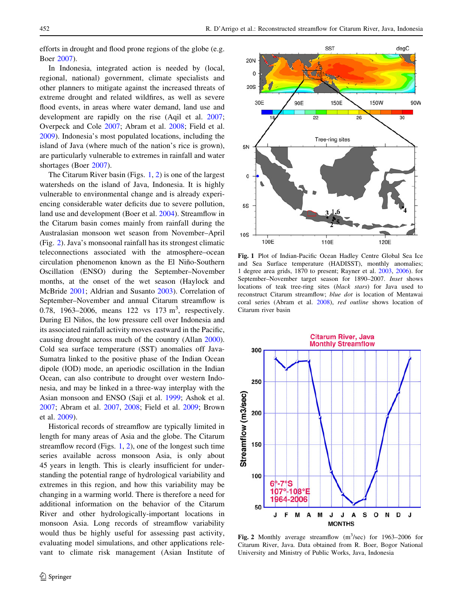<span id="page-1-0"></span>efforts in drought and flood prone regions of the globe (e.g. Boer [2007\)](#page-9-0).

In Indonesia, integrated action is needed by (local, regional, national) government, climate specialists and other planners to mitigate against the increased threats of extreme drought and related wildfires, as well as severe flood events, in areas where water demand, land use and development are rapidly on the rise (Aqil et al. [2007](#page-9-0); Overpeck and Cole [2007;](#page-10-0) Abram et al. [2008](#page-9-0); Field et al. [2009\)](#page-10-0). Indonesia's most populated locations, including the island of Java (where much of the nation's rice is grown), are particularly vulnerable to extremes in rainfall and water shortages (Boer [2007](#page-9-0)).

The Citarum River basin (Figs. 1, 2) is one of the largest watersheds on the island of Java, Indonesia. It is highly vulnerable to environmental change and is already experiencing considerable water deficits due to severe pollution, land use and development (Boer et al. [2004\)](#page-10-0). Streamflow in the Citarum basin comes mainly from rainfall during the Australasian monsoon wet season from November–April (Fig. 2). Java's monsoonal rainfall has its strongest climatic teleconnections associated with the atmosphere–ocean circulation phenomenon known as the El Niño-Southern Oscillation (ENSO) during the September–November months, at the onset of the wet season (Haylock and McBride [2001;](#page-10-0) Aldrian and Susanto [2003\)](#page-9-0). Correlation of September–November and annual Citarum streamflow is 0.78, 1963–2006, means  $122 \text{ vs } 173 \text{ m}^3$ , respectively. During El Niños, the low pressure cell over Indonesia and its associated rainfall activity moves eastward in the Pacific, causing drought across much of the country (Allan [2000](#page-9-0)). Cold sea surface temperature (SST) anomalies off Java-Sumatra linked to the positive phase of the Indian Ocean dipole (IOD) mode, an aperiodic oscillation in the Indian Ocean, can also contribute to drought over western Indonesia, and may be linked in a three-way interplay with the Asian monsoon and ENSO (Saji et al. [1999](#page-10-0); Ashok et al. [2007;](#page-9-0) Abram et al. [2007,](#page-9-0) [2008;](#page-9-0) Field et al. [2009](#page-10-0); Brown et al. [2009\)](#page-10-0).

Historical records of streamflow are typically limited in length for many areas of Asia and the globe. The Citarum streamflow record (Figs. 1, 2), one of the longest such time series available across monsoon Asia, is only about 45 years in length. This is clearly insufficient for understanding the potential range of hydrological variability and extremes in this region, and how this variability may be changing in a warming world. There is therefore a need for additional information on the behavior of the Citarum River and other hydrologically-important locations in monsoon Asia. Long records of streamflow variability would thus be highly useful for assessing past activity, evaluating model simulations, and other applications relevant to climate risk management (Asian Institute of



Fig. 1 Plot of Indian-Pacific Ocean Hadley Centre Global Sea Ice and Sea Surface temperature (HADISST), monthly anomalies; 1 degree area grids, 1870 to present; Rayner et al. [2003](#page-10-0), [2006](#page-10-0)). for September–November target season for 1890–2007. Inset shows locations of teak tree-ring sites (black stars) for Java used to reconstruct Citarum streamflow; blue dot is location of Mentawai coral series (Abram et al. [2008\)](#page-9-0), red outline shows location of Citarum river basin



Fig. 2 Monthly average streamflow  $(m^3/sec)$  for 1963–2006 for Citarum River, Java. Data obtained from R. Boer, Bogor National University and Ministry of Public Works, Java, Indonesia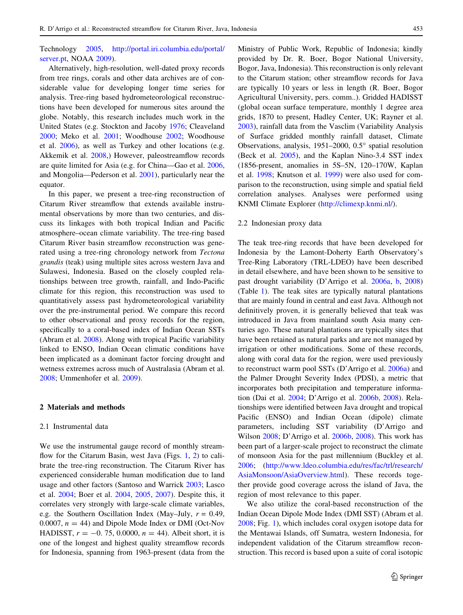Technology [2005](#page-9-0), [http://portal.iri.columbia.edu/portal/](http://portal.iri.columbia.edu/portal/server.pt) [server.pt,](http://portal.iri.columbia.edu/portal/server.pt) NOAA [2009\)](#page-10-0).

Alternatively, high-resolution, well-dated proxy records from tree rings, corals and other data archives are of considerable value for developing longer time series for analysis. Tree-ring based hydrometeorological reconstructions have been developed for numerous sites around the globe. Notably, this research includes much work in the United States (e.g. Stockton and Jacoby [1976;](#page-10-0) Cleaveland [2000;](#page-10-0) Meko et al. [2001;](#page-10-0) Woodhouse [2002;](#page-11-0) Woodhouse et al. [2006\)](#page-11-0), as well as Turkey and other locations (e.g. Akkemik et al. [2008,](#page-9-0)) However, paleostreamflow records are quite limited for Asia (e.g. for China—Gao et al. [2006,](#page-10-0) and Mongolia—Pederson et al. [2001](#page-10-0)), particularly near the equator.

In this paper, we present a tree-ring reconstruction of Citarum River streamflow that extends available instrumental observations by more than two centuries, and discuss its linkages with both tropical Indian and Pacific atmosphere–ocean climate variability. The tree-ring based Citarum River basin streamflow reconstruction was generated using a tree-ring chronology network from Tectona grandis (teak) using multiple sites across western Java and Sulawesi, Indonesia. Based on the closely coupled relationships between tree growth, rainfall, and Indo-Pacific climate for this region, this reconstruction was used to quantitatively assess past hydrometeorological variability over the pre-instrumental period. We compare this record to other observational and proxy records for the region, specifically to a coral-based index of Indian Ocean SSTs (Abram et al. [2008](#page-9-0)). Along with tropical Pacific variability linked to ENSO, Indian Ocean climatic conditions have been implicated as a dominant factor forcing drought and wetness extremes across much of Australasia (Abram et al. [2008;](#page-9-0) Ummenhofer et al. [2009](#page-10-0)).

## 2 Materials and methods

#### 2.1 Instrumental data

We use the instrumental gauge record of monthly streamflow for the Citarum Basin, west Java (Figs. [1](#page-1-0), [2](#page-1-0)) to calibrate the tree-ring reconstruction. The Citarum River has experienced considerable human modification due to land usage and other factors (Santoso and Warrick [2003](#page-10-0); Lasco et al. [2004;](#page-10-0) Boer et al. [2004,](#page-10-0) [2005,](#page-10-0) [2007\)](#page-10-0). Despite this, it correlates very strongly with large-scale climate variables, e.g. the Southern Oscillation Index (May–July,  $r = 0.49$ , 0.0007,  $n = 44$ ) and Dipole Mode Index or DMI (Oct-Nov HADISST,  $r = -0.75, 0.0000, n = 44$ . Albeit short, it is one of the longest and highest quality streamflow records for Indonesia, spanning from 1963-present (data from the Ministry of Public Work, Republic of Indonesia; kindly provided by Dr. R. Boer, Bogor National University, Bogor, Java, Indonesia). This reconstruction is only relevant to the Citarum station; other streamflow records for Java are typically 10 years or less in length (R. Boer, Bogor Agricultural University, pers. comm..). Gridded HADISST (global ocean surface temperature, monthly 1 degree area grids, 1870 to present, Hadley Center, UK; Rayner et al. [2003](#page-10-0)), rainfall data from the Vasclim (Variability Analysis of Surface gridded monthly rainfall dataset, Climate Observations, analysis,  $1951-2000$ ,  $0.5^{\circ}$  spatial resolution (Beck et al. [2005\)](#page-9-0), and the Kaplan Nino-3.4 SST index (1856-present, anomalies in 5S–5N, 120–170W, Kaplan et al. [1998](#page-10-0); Knutson et al. [1999\)](#page-10-0) were also used for comparison to the reconstruction, using simple and spatial field correlation analyses. Analyses were performed using KNMI Climate Explorer (<http://climexp.knmi.nl/>).

#### 2.2 Indonesian proxy data

The teak tree-ring records that have been developed for Indonesia by the Lamont-Doherty Earth Observatory's Tree-Ring Laboratory (TRL-LDEO) have been described in detail elsewhere, and have been shown to be sensitive to past drought variability (D'Arrigo et al. [2006a](#page-10-0), [b](#page-10-0), [2008\)](#page-10-0) (Table [1\)](#page-3-0). The teak sites are typically natural plantations that are mainly found in central and east Java. Although not definitively proven, it is generally believed that teak was introduced in Java from mainland south Asia many centuries ago. These natural plantations are typically sites that have been retained as natural parks and are not managed by irrigation or other modifications. Some of these records, along with coral data for the region, were used previously to reconstruct warm pool SSTs (D'Arrigo et al. [2006a\)](#page-10-0) and the Palmer Drought Severity Index (PDSI), a metric that incorporates both precipitation and temperature information (Dai et al. [2004;](#page-10-0) D'Arrigo et al. [2006b](#page-10-0), [2008](#page-10-0)). Relationships were identified between Java drought and tropical Pacific (ENSO) and Indian Ocean (dipole) climate parameters, including SST variability (D'Arrigo and Wilson [2008](#page-10-0); D'Arrigo et al. [2006b](#page-10-0), [2008\)](#page-10-0). This work has been part of a larger-scale project to reconstruct the climate of monsoon Asia for the past millennium (Buckley et al. [2006](#page-10-0); ([http://www.ldeo.columbia.edu/res/fac/trl/research/](http://www.ldeo.columbia.edu/res/fac/trl/research/AsiaMonsoon/AsiaOverview.html) [AsiaMonsoon/AsiaOverview.html\)](http://www.ldeo.columbia.edu/res/fac/trl/research/AsiaMonsoon/AsiaOverview.html). These records together provide good coverage across the island of Java, the region of most relevance to this paper.

We also utilize the coral-based reconstruction of the Indian Ocean Dipole Mode Index (DMI SST) (Abram et al. [2008](#page-9-0); Fig. [1\)](#page-1-0), which includes coral oxygen isotope data for the Mentawai Islands, off Sumatra, western Indonesia, for independent validation of the Citarum streamflow reconstruction. This record is based upon a suite of coral isotopic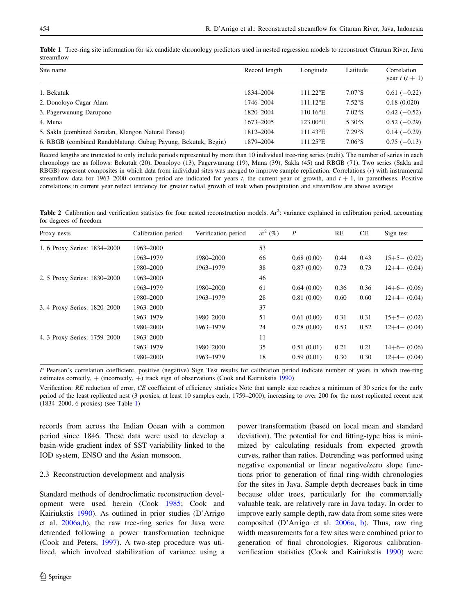<span id="page-3-0"></span>Table 1 Tree-ring site information for six candidate chronology predictors used in nested regression models to reconstruct Citarum River, Java streamflow

| Site name                                                     | Record length | Longitude               | Latitude            | Correlation<br>year $t(t+1)$ |
|---------------------------------------------------------------|---------------|-------------------------|---------------------|------------------------------|
| 1. Bekutuk                                                    | 1834-2004     | $111.22^{\circ}E$       | $7.07\textdegree$ S | $0.61(-0.22)$                |
| 2. Donoloyo Cagar Alam                                        | 1746-2004     | $111.12$ <sup>o</sup> E | $7.52\textdegree$ S | 0.18(0.020)                  |
| 3. Pagerwunung Darupono                                       | 1820-2004     | $110.16^{\circ}E$       | $7.02\textdegree$ S | $0.42(-0.52)$                |
| 4. Muna                                                       | 1673-2005     | $123.00^{\circ}E$       | 5.30°S              | $0.52(-0.29)$                |
| 5. Sakla (combined Saradan, Klangon Natural Forest)           | 1812-2004     | $111.43^{\circ}E$       | 7.29°S              | $0.14(-0.29)$                |
| 6. RBGB (combined Randublatung. Gubug Payung, Bekutuk, Begin) | 1879-2004     | $111.25^{\circ}E$       | $7.06\textdegree$ S | $0.75(-0.13)$                |

Record lengths are truncated to only include periods represented by more than 10 individual tree-ring series (radii). The number of series in each chronology are as follows: Bekutuk (20), Donoloyo (13), Pagerwunung (19), Muna (39), Sakla (45) and RBGB (71). Two series (Sakla and RBGB) represent composites in which data from individual sites was merged to improve sample replication. Correlations (r) with instrumental streamflow data for 1963–2000 common period are indicated for years  $t$ , the current year of growth, and  $t + 1$ , in parentheses. Positive correlations in current year reflect tendency for greater radial growth of teak when precipitation and streamflow are above average

Table 2 Calibration and verification statistics for four nested reconstruction models. Ar<sup>2</sup>: variance explained in calibration period, accounting for degrees of freedom

| Proxy nests                  | Calibration period | Verification period | $ar^2$ (%) | $\boldsymbol{P}$ | RE   | CE   | Sign test      |
|------------------------------|--------------------|---------------------|------------|------------------|------|------|----------------|
| 1. 6 Proxy Series: 1834–2000 | 1963-2000          |                     | 53         |                  |      |      |                |
|                              | 1963-1979          | 1980-2000           | 66         | 0.68(0.00)       | 0.44 | 0.43 | $15+5-$ (0.02) |
|                              | 1980-2000          | 1963-1979           | 38         | 0.87(0.00)       | 0.73 | 0.73 | $12+4-$ (0.04) |
| 2. 5 Proxy Series: 1830–2000 | 1963-2000          |                     | 46         |                  |      |      |                |
|                              | 1963-1979          | 1980-2000           | 61         | 0.64(0.00)       | 0.36 | 0.36 | $14+6- (0.06)$ |
|                              | 1980-2000          | 1963-1979           | 28         | 0.81(0.00)       | 0.60 | 0.60 | $12+4-$ (0.04) |
| 3. 4 Proxy Series: 1820-2000 | 1963-2000          |                     | 37         |                  |      |      |                |
|                              | 1963-1979          | 1980–2000           | 51         | 0.61(0.00)       | 0.31 | 0.31 | $15+5-$ (0.02) |
|                              | 1980-2000          | 1963-1979           | 24         | 0.78(0.00)       | 0.53 | 0.52 | $12+4-$ (0.04) |
| 4. 3 Proxy Series: 1759–2000 | 1963-2000          |                     | 11         |                  |      |      |                |
|                              | 1963-1979          | 1980-2000           | 35         | 0.51(0.01)       | 0.21 | 0.21 | $14+6- (0.06)$ |
|                              | 1980-2000          | 1963-1979           | 18         | 0.59(0.01)       | 0.30 | 0.30 | $12+4-$ (0.04) |

P Pearson's correlation coefficient, positive (negative) Sign Test results for calibration period indicate number of years in which tree-ring estimates correctly,  $+$  (incorrectly,  $+$ ) track sign of observations (Cook and Kairiukstis [1990\)](#page-10-0)

Verification: RE reduction of error, CE coefficient of efficiency statistics Note that sample size reaches a minimum of 30 series for the early period of the least replicated nest (3 proxies, at least 10 samples each, 1759–2000), increasing to over 200 for the most replicated recent nest (1834–2000, 6 proxies) (see Table 1)

records from across the Indian Ocean with a common period since 1846. These data were used to develop a basin-wide gradient index of SST variability linked to the IOD system, ENSO and the Asian monsoon.

#### 2.3 Reconstruction development and analysis

Standard methods of dendroclimatic reconstruction development were used herein (Cook [1985;](#page-10-0) Cook and Kairiukstis [1990\)](#page-10-0). As outlined in prior studies (D'Arrigo et al. [2006a,b](#page-10-0)), the raw tree-ring series for Java were detrended following a power transformation technique (Cook and Peters, [1997](#page-10-0)). A two-step procedure was utilized, which involved stabilization of variance using a power transformation (based on local mean and standard deviation). The potential for end fitting-type bias is minimized by calculating residuals from expected growth curves, rather than ratios. Detrending was performed using negative exponential or linear negative/zero slope functions prior to generation of final ring-width chronologies for the sites in Java. Sample depth decreases back in time because older trees, particularly for the commercially valuable teak, are relatively rare in Java today. In order to improve early sample depth, raw data from some sites were composited (D'Arrigo et al. [2006a,](#page-10-0) [b\)](#page-10-0). Thus, raw ring width measurements for a few sites were combined prior to generation of final chronologies. Rigorous calibrationverification statistics (Cook and Kairiukstis [1990](#page-10-0)) were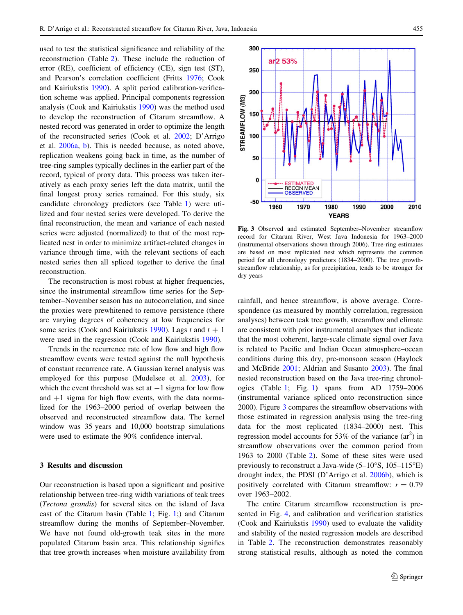<span id="page-4-0"></span>used to test the statistical significance and reliability of the 300 reconstruction (Table [2\)](#page-3-0). These include the reduction of error (RE), coefficient of efficiency (CE), sign test (ST), 250 and Pearson's correlation coefficient (Fritts [1976;](#page-10-0) Cook and Kairiukstis [1990](#page-10-0)). A split period calibration-verifica-200 tion scheme was applied. Principal components regression STREAMFLOW (M3) 150 100

analysis (Cook and Kairiukstis [1990](#page-10-0)) was the method used to develop the reconstruction of Citarum streamflow. A nested record was generated in order to optimize the length of the reconstructed series (Cook et al. [2002](#page-10-0); D'Arrigo et al. [2006a](#page-10-0), [b\)](#page-10-0). This is needed because, as noted above, replication weakens going back in time, as the number of tree-ring samples typically declines in the earlier part of the record, typical of proxy data. This process was taken iteratively as each proxy series left the data matrix, until the final longest proxy series remained. For this study, six candidate chronology predictors (see Table [1](#page-3-0)) were utilized and four nested series were developed. To derive the final reconstruction, the mean and variance of each nested series were adjusted (normalized) to that of the most replicated nest in order to minimize artifact-related changes in variance through time, with the relevant sections of each nested series then all spliced together to derive the final reconstruction.

The reconstruction is most robust at higher frequencies, since the instrumental streamflow time series for the September–November season has no autocorrelation, and since the proxies were prewhitened to remove persistence (there are varying degrees of coherency at low frequencies for some series (Cook and Kairiukstis [1990\)](#page-10-0). Lags t and  $t + 1$ were used in the regression (Cook and Kairiukstis [1990\)](#page-10-0).

Trends in the recurrence rate of low flow and high flow streamflow events were tested against the null hypothesis of constant recurrence rate. A Gaussian kernel analysis was employed for this purpose (Mudelsee et al. [2003](#page-10-0)), for which the event threshold was set at  $-1$  sigma for low flow and  $+1$  sigma for high flow events, with the data normalized for the 1963–2000 period of overlap between the observed and reconstructed streamflow data. The kernel window was 35 years and 10,000 bootstrap simulations were used to estimate the 90% confidence interval.

## 3 Results and discussion

Our reconstruction is based upon a significant and positive relationship between tree-ring width variations of teak trees (Tectona grandis) for several sites on the island of Java east of the Citarum basin (Table [1](#page-3-0); Fig. [1](#page-1-0);) and Citarum streamflow during the months of September–November. We have not found old-growth teak sites in the more populated Citarum basin area. This relationship signifies that tree growth increases when moisture availability from



Fig. 3 Observed and estimated September–November streamflow record for Citarum River, West Java Indonesia for 1963–2000 (instrumental observations shown through 2006). Tree-ring estimates are based on most replicated nest which represents the common period for all chronology predictors (1834–2000). The tree growthstreamflow relationship, as for precipitation, tends to be stronger for dry years

rainfall, and hence streamflow, is above average. Correspondence (as measured by monthly correlation, regression analyses) between teak tree growth, streamflow and climate are consistent with prior instrumental analyses that indicate that the most coherent, large-scale climate signal over Java is related to Pacific and Indian Ocean atmosphere–ocean conditions during this dry, pre-monsoon season (Haylock and McBride [2001;](#page-10-0) Aldrian and Susanto [2003\)](#page-9-0). The final nested reconstruction based on the Java tree-ring chronologies (Table [1](#page-3-0); Fig. [1](#page-1-0)) spans from AD 1759–2006 (instrumental variance spliced onto reconstruction since 2000). Figure 3 compares the streamflow observations with those estimated in regression analysis using the tree-ring data for the most replicated (1834–2000) nest. This regression model accounts for 53% of the variance  $(ar^2)$  in streamflow observations over the common period from 1963 to 2000 (Table [2\)](#page-3-0). Some of these sites were used previously to reconstruct a Java-wide  $(5-10^{\circ}S, 105-115^{\circ}E)$ drought index, the PDSI (D'Arrigo et al. [2006b\)](#page-10-0), which is positively correlated with Citarum streamflow:  $r = 0.79$ over 1963–2002.

The entire Citarum streamflow reconstruction is presented in Fig. [4](#page-5-0), and calibration and verification statistics (Cook and Kairiukstis [1990](#page-10-0)) used to evaluate the validity and stability of the nested regression models are described in Table [2.](#page-3-0) The reconstruction demonstrates reasonably strong statistical results, although as noted the common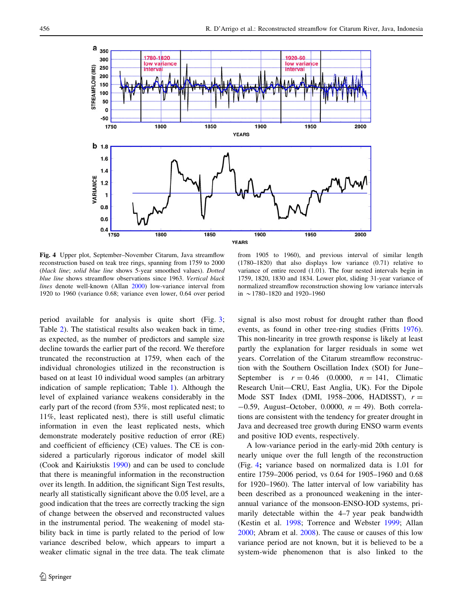<span id="page-5-0"></span>

Fig. 4 Upper plot, September–November Citarum, Java streamflow reconstruction based on teak tree rings, spanning from 1759 to 2000 (black line; solid blue line shows 5-year smoothed values). Dotted blue line shows streamflow observations since 1963. Vertical black lines denote well-known (Allan [2000](#page-9-0)) low-variance interval from 1920 to 1960 (variance 0.68; variance even lower, 0.64 over period

period available for analysis is quite short (Fig. [3](#page-4-0); Table [2](#page-3-0)). The statistical results also weaken back in time, as expected, as the number of predictors and sample size decline towards the earlier part of the record. We therefore truncated the reconstruction at 1759, when each of the individual chronologies utilized in the reconstruction is based on at least 10 individual wood samples (an arbitrary indication of sample replication; Table [1\)](#page-3-0). Although the level of explained variance weakens considerably in the early part of the record (from 53%, most replicated nest; to 11%, least replicated nest), there is still useful climatic information in even the least replicated nests, which demonstrate moderately positive reduction of error (RE) and coefficient of efficiency (CE) values. The CE is considered a particularly rigorous indicator of model skill (Cook and Kairiukstis [1990\)](#page-10-0) and can be used to conclude that there is meaningful information in the reconstruction over its length. In addition, the significant Sign Test results, nearly all statistically significant above the 0.05 level, are a good indication that the trees are correctly tracking the sign of change between the observed and reconstructed values in the instrumental period. The weakening of model stability back in time is partly related to the period of low variance described below, which appears to impart a weaker climatic signal in the tree data. The teak climate

from 1905 to 1960), and previous interval of similar length (1780–1820) that also displays low variance (0.71) relative to variance of entire record (1.01). The four nested intervals begin in 1759, 1820, 1830 and 1834. Lower plot, sliding 31-year variance of normalized streamflow reconstruction showing low variance intervals in  $\sim$  1780–1820 and 1920–1960

signal is also most robust for drought rather than flood events, as found in other tree-ring studies (Fritts [1976](#page-10-0)). This non-linearity in tree growth response is likely at least partly the explanation for larger residuals in some wet years. Correlation of the Citarum streamflow reconstruction with the Southern Oscillation Index (SOI) for June– September is  $r = 0.46$  (0.0000,  $n = 141$ , Climatic Research Unit—CRU, East Anglia, UK). For the Dipole Mode SST Index (DMI, 1958–2006, HADISST),  $r =$  $-0.59$ , August–October, 0.0000,  $n = 49$ ). Both correlations are consistent with the tendency for greater drought in Java and decreased tree growth during ENSO warm events and positive IOD events, respectively.

A low-variance period in the early-mid 20th century is nearly unique over the full length of the reconstruction (Fig. 4; variance based on normalized data is 1.01 for entire 1759–2006 period, vs 0.64 for 1905–1960 and 0.68 for 1920–1960). The latter interval of low variability has been described as a pronounced weakening in the interannual variance of the monsoon-ENSO-IOD systems, primarily detectable within the 4–7 year peak bandwidth (Kestin et al. [1998](#page-10-0); Torrence and Webster [1999](#page-10-0); Allan [2000](#page-9-0); Abram et al. [2008](#page-9-0)). The cause or causes of this low variance period are not known, but it is believed to be a system-wide phenomenon that is also linked to the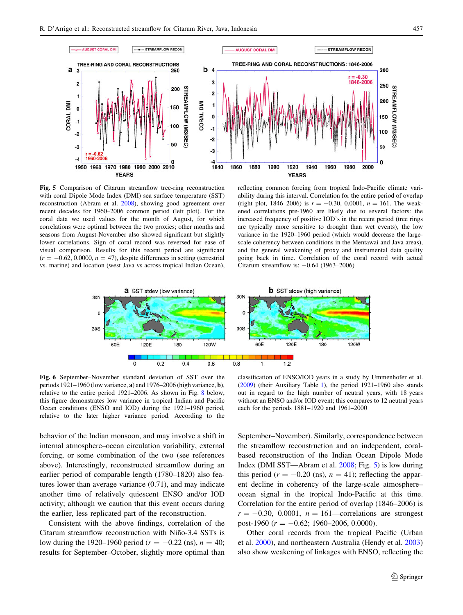<span id="page-6-0"></span>

Fig. 5 Comparison of Citarum streamflow tree-ring reconstruction with coral Dipole Mode Index (DMI) sea surface temperature (SST) reconstruction (Abram et al. [2008\)](#page-9-0), showing good agreement over recent decades for 1960–2006 common period (left plot). For the coral data we used values for the month of August, for which correlations were optimal between the two proxies; other months and seasons from August-November also showed significant but slightly lower correlations. Sign of coral record was reversed for ease of visual comparison. Results for this recent period are significant  $(r = -0.62, 0.0000, n = 47)$ , despite differences in setting (terrestrial vs. marine) and location (west Java vs across tropical Indian Ocean),

reflecting common forcing from tropical Indo-Pacific climate variability during this interval. Correlation for the entire period of overlap (right plot, 1846–2006) is  $r = -0.30, 0.0001, n = 161$ . The weakened correlations pre-1960 are likely due to several factors: the increased frequency of positive IOD's in the recent period (tree rings are typically more sensitive to drought than wet events), the low variance in the 1920–1960 period (which would decrease the largescale coherency between conditions in the Mentawai and Java areas), and the general weakening of proxy and instrumental data quality going back in time. Correlation of the coral record with actual Citarum streamflow is:  $-0.64$  (1963–2006)



Fig. 6 September–November standard deviation of SST over the periods 1921–1960 (low variance, a) and 1976–2006 (high variance, b), relative to the entire period 1921–2006. As shown in Fig. [8](#page-8-0) below, this figure demonstrates low variance in tropical Indian and Pacific Ocean conditions (ENSO and IOD) during the 1921–1960 period, relative to the later higher variance period. According to the

classification of ENSO/IOD years in a study by Ummenhofer et al. ([2009\)](#page-10-0) (their Auxiliary Table [1\)](#page-3-0), the period 1921–1960 also stands out in regard to the high number of neutral years, with 18 years without an ENSO and/or IOD event; this compares to 12 neutral years each for the periods 1881–1920 and 1961–2000

behavior of the Indian monsoon, and may involve a shift in internal atmosphere–ocean circulation variability, external forcing, or some combination of the two (see references above). Interestingly, reconstructed streamflow during an earlier period of comparable length (1780–1820) also features lower than average variance (0.71), and may indicate another time of relatively quiescent ENSO and/or IOD activity; although we caution that this event occurs during the earlier, less replicated part of the reconstruction.

Consistent with the above findings, correlation of the Citarum streamflow reconstruction with Niño-3.4 SSTs is low during the 1920–1960 period ( $r = -0.22$  (ns),  $n = 40$ ; results for September–October, slightly more optimal than September–November). Similarly, correspondence between the streamflow reconstruction and an independent, coralbased reconstruction of the Indian Ocean Dipole Mode Index (DMI SST—Abram et al. [2008](#page-9-0); Fig. 5) is low during this period ( $r = -0.20$  (ns),  $n = 41$ ); reflecting the apparent decline in coherency of the large-scale atmosphere– ocean signal in the tropical Indo-Pacific at this time. Correlation for the entire period of overlap (1846–2006) is  $r = -0.30$ , 0.0001,  $n = 161$ —correlations are strongest post-1960 ( $r = -0.62$ ; 1960–2006, 0.0000).

Other coral records from the tropical Pacific (Urban et al. [2000\)](#page-10-0), and northeastern Australia (Hendy et al. [2003\)](#page-10-0) also show weakening of linkages with ENSO, reflecting the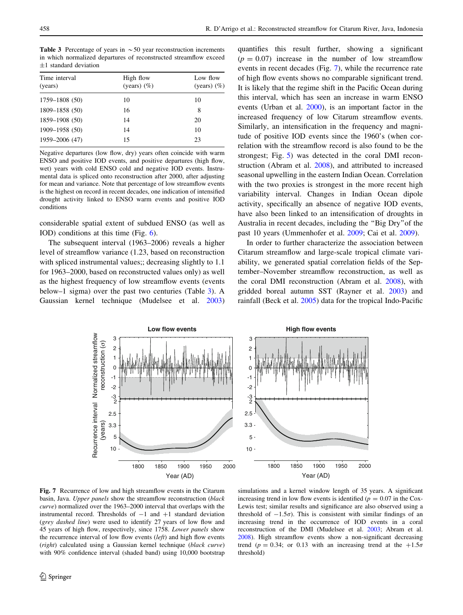Table 3 Percentage of years in  $\sim$  50 year reconstruction increments in which normalized departures of reconstructed streamflow exceed  $\pm 1$  standard deviation

| Time interval<br>(years) | High flow<br>(years) $(\% )$ | Low flow<br>(years) $(\% )$ |
|--------------------------|------------------------------|-----------------------------|
| 1759-1808 (50)           | 10                           | 10                          |
| 1809-1858 (50)           | 16                           | 8                           |
| 1859-1908 (50)           | 14                           | 20                          |
| 1909-1958 (50)           | 14                           | 10                          |
| 1959-2006 (47)           | 15                           | 23                          |
|                          |                              |                             |

Negative departures (low flow, dry) years often coincide with warm ENSO and positive IOD events, and positive departures (high flow, wet) years with cold ENSO cold and negative IOD events. Instrumental data is spliced onto reconstruction after 2000, after adjusting for mean and variance. Note that percentage of low streamflow events is the highest on record in recent decades, one indication of intensified drought activity linked to ENSO warm events and positive IOD conditions

considerable spatial extent of subdued ENSO (as well as IOD) conditions at this time (Fig. [6](#page-6-0)).

The subsequent interval (1963–2006) reveals a higher level of streamflow variance (1.23, based on reconstruction with spliced instrumental values;; decreasing slightly to 1.1 for 1963–2000, based on reconstructed values only) as well as the highest frequency of low streamflow events (events below–1 sigma) over the past two centuries (Table 3). A Gaussian kernel technique (Mudelsee et al. [2003\)](#page-10-0) quantifies this result further, showing a significant  $(p = 0.07)$  increase in the number of low streamflow events in recent decades (Fig. 7), while the recurrence rate of high flow events shows no comparable significant trend. It is likely that the regime shift in the Pacific Ocean during this interval, which has seen an increase in warm ENSO events (Urban et al. [2000](#page-10-0)), is an important factor in the increased frequency of low Citarum streamflow events. Similarly, an intensification in the frequency and magnitude of positive IOD events since the 1960's (when correlation with the streamflow record is also found to be the strongest; Fig. [5\)](#page-6-0) was detected in the coral DMI reconstruction (Abram et al. [2008\)](#page-9-0), and attributed to increased seasonal upwelling in the eastern Indian Ocean. Correlation with the two proxies is strongest in the more recent high variability interval. Changes in Indian Ocean dipole activity, specifically an absence of negative IOD events, have also been linked to an intensification of droughts in Australia in recent decades, including the ''Big Dry''of the past 10 years (Ummenhofer et al. [2009;](#page-10-0) Cai et al. [2009\)](#page-10-0).

In order to further characterize the association between Citarum streamflow and large-scale tropical climate variability, we generated spatial correlation fields of the September–November streamflow reconstruction, as well as the coral DMI reconstruction (Abram et al. [2008\)](#page-9-0), with gridded boreal autumn SST (Rayner et al. [2003](#page-10-0)) and rainfall (Beck et al. [2005](#page-9-0)) data for the tropical Indo-Pacific



Fig. 7 Recurrence of low and high streamflow events in the Citarum basin, Java. Upper panels show the streamflow reconstruction (black curve) normalized over the 1963–2000 interval that overlaps with the instrumental record. Thresholds of  $-1$  and  $+1$  standard deviation (grey dashed line) were used to identify 27 years of low flow and 45 years of high flow, respectively, since 1758. Lower panels show the recurrence interval of low flow events  $(left)$  and high flow events (right) calculated using a Gaussian kernel technique (black curve) with 90% confidence interval (shaded band) using 10,000 bootstrap

simulations and a kernel window length of 35 years. A significant increasing trend in low flow events is identified ( $p = 0.07$  in the Cox-Lewis test; similar results and significance are also observed using a threshold of  $-1.5\sigma$ ). This is consistent with similar findings of an increasing trend in the occurrence of IOD events in a coral reconstruction of the DMI (Mudelsee et al. [2003](#page-10-0); Abram et al. [2008](#page-9-0)). High streamflow events show a non-significant decreasing trend ( $p = 0.34$ ; or 0.13 with an increasing trend at the  $+1.5\sigma$ threshold)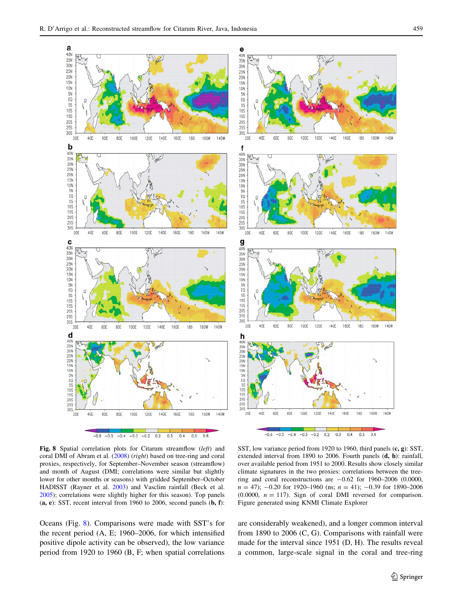<span id="page-8-0"></span>

Fig. 8 Spatial correlation plots for Citarum streamflow (left) and coral DMI of Abram et al. ([2008\)](#page-9-0) (right) based on tree-ring and coral proxies, respectively, for September–November season (streamflow) and month of August (DMI; correlations were similar but slightly lower for other months or seasons) with gridded September–October HADISST (Rayner et al. [2003\)](#page-10-0) and Vasclim rainfall (Beck et al. [2005\)](#page-9-0); correlations were slightly higher for this season). Top panels  $(a, e)$ : SST, recent interval from 1960 to 2006, second panels  $(b, f)$ :

Oceans (Fig. 8). Comparisons were made with SST's for the recent period (A, E; 1960–2006, for which intensified positive dipole activity can be observed), the low variance period from 1920 to 1960 (B, F; when spatial correlations

SST, low variance period from 1920 to 1960, third panels (c, g): SST, extended interval from 1890 to 2006. Fourth panels (d, h): rainfall, over available period from 1951 to 2000. Results show closely similar climate signatures in the two proxies: correlations between the treering and coral reconstructions are  $-0.62$  for 1960–2006 (0.0000,  $n = 47$ ; -0.20 for 1920-1960 (ns;  $n = 41$ ); -0.39 for 1890-2006 (0.0000,  $n = 117$ ). Sign of coral DMI reversed for comparison. Figure generated using KNMI Climate Explorer

are considerably weakened), and a longer common interval from 1890 to 2006 (C, G). Comparisons with rainfall were made for the interval since 1951 (D, H). The results reveal a common, large-scale signal in the coral and tree-ring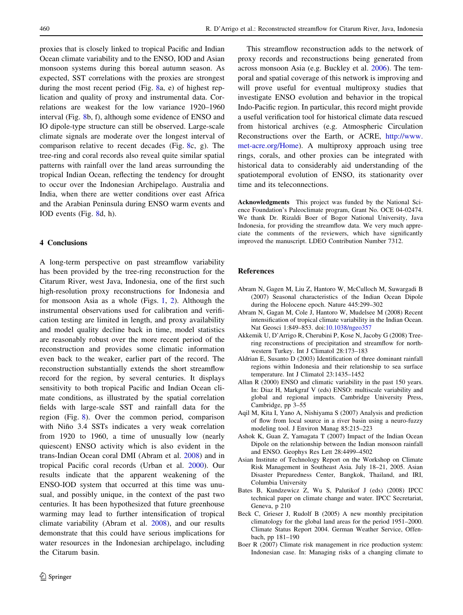<span id="page-9-0"></span>proxies that is closely linked to tropical Pacific and Indian Ocean climate variability and to the ENSO, IOD and Asian monsoon systems during this boreal autumn season. As expected, SST correlations with the proxies are strongest during the most recent period (Fig. [8a](#page-8-0), e) of highest replication and quality of proxy and instrumental data. Correlations are weakest for the low variance 1920–1960 interval (Fig. [8b](#page-8-0), f), although some evidence of ENSO and IO dipole-type structure can still be observed. Large-scale climate signals are moderate over the longest interval of comparison relative to recent decades (Fig. [8](#page-8-0)c, g). The tree-ring and coral records also reveal quite similar spatial patterns with rainfall over the land areas surrounding the tropical Indian Ocean, reflecting the tendency for drought to occur over the Indonesian Archipelago. Australia and India, when there are wetter conditions over east Africa and the Arabian Peninsula during ENSO warm events and IOD events (Fig. [8](#page-8-0)d, h).

# 4 Conclusions

A long-term perspective on past streamflow variability has been provided by the tree-ring reconstruction for the Citarum River, west Java, Indonesia, one of the first such high-resolution proxy reconstructions for Indonesia and for monsoon Asia as a whole (Figs. [1,](#page-1-0) [2](#page-1-0)). Although the instrumental observations used for calibration and verification testing are limited in length, and proxy availability and model quality decline back in time, model statistics are reasonably robust over the more recent period of the reconstruction and provides some climatic information even back to the weaker, earlier part of the record. The reconstruction substantially extends the short streamflow record for the region, by several centuries. It displays sensitivity to both tropical Pacific and Indian Ocean climate conditions, as illustrated by the spatial correlation fields with large-scale SST and rainfall data for the region (Fig. [8](#page-8-0)). Over the common period, comparison with Niño 3.4 SSTs indicates a very weak correlation from 1920 to 1960, a time of unusually low (nearly quiescent) ENSO activity which is also evident in the trans-Indian Ocean coral DMI (Abram et al. 2008) and in tropical Pacific coral records (Urban et al. [2000](#page-10-0)). Our results indicate that the apparent weakening of the ENSO-IOD system that occurred at this time was unusual, and possibly unique, in the context of the past two centuries. It has been hypothesized that future greenhouse warming may lead to further intensification of tropical climate variability (Abram et al. 2008), and our results demonstrate that this could have serious implications for water resources in the Indonesian archipelago, including the Citarum basin.

This streamflow reconstruction adds to the network of proxy records and reconstructions being generated from across monsoon Asia (e.g. Buckley et al. [2006\)](#page-10-0). The temporal and spatial coverage of this network is improving and will prove useful for eventual multiproxy studies that investigate ENSO evolution and behavior in the tropical Indo-Pacific region. In particular, this record might provide a useful verification tool for historical climate data rescued from historical archives (e.g. Atmospheric Circulation Reconstructions over the Earth, or ACRE, [http://www.](http://www.met-acre.org/Home) [met-acre.org/Home](http://www.met-acre.org/Home)). A multiproxy approach using tree rings, corals, and other proxies can be integrated with historical data to considerably aid understanding of the spatiotemporal evolution of ENSO, its stationarity over time and its teleconnections.

Acknowledgments This project was funded by the National Science Foundation's Paleoclimate program, Grant No. OCE 04-02474. We thank Dr. Rizaldi Boer of Bogor National University, Java Indonesia, for providing the streamflow data. We very much appreciate the comments of the reviewers, which have significantly improved the manuscript. LDEO Contribution Number 7312.

#### References

- Abram N, Gagen M, Liu Z, Hantoro W, McCulloch M, Suwargadi B (2007) Seasonal characteristics of the Indian Ocean Dipole during the Holocene epoch. Nature 445:299–302
- Abram N, Gagan M, Cole J, Hantoro W, Mudelsee M (2008) Recent intensification of tropical climate variability in the Indian Ocean. Nat Geosci 1:849–853. doi[:10.1038/ngeo357](http://dx.doi.org/10.1038/ngeo357)
- Akkemik U, D'Arrigo R, Cherubini P, Kose N, Jacoby G (2008) Treering reconstructions of precipitation and streamflow for northwestern Turkey. Int J Climatol 28:173–183
- Aldrian E, Susanto D (2003) Identification of three dominant rainfall regions within Indonesia and their relationship to sea surface temperature. Int J Climatol 23:1435–1452
- Allan R (2000) ENSO and climatic variability in the past 150 years. In: Diaz H, Markgraf V (eds) ENSO: multiscale variability and global and regional impacts. Cambridge University Press, Cambridge, pp 3–55
- Aqil M, Kita I, Yano A, Nishiyama S (2007) Analysis and prediction of flow from local source in a river basin using a neuro-fuzzy modeling tool. J Environ Manag 85:215–223
- Ashok K, Guan Z, Yamagata T (2007) Impact of the Indian Ocean Dipole on the relationship between the Indian monsoon rainfall and ENSO. Geophys Res Lett 28:4499–4502
- Asian Institute of Technology Report on the Workshop on Climate Risk Management in Southeast Asia. July 18–21, 2005. Asian Disaster Preparedness Center, Bangkok, Thailand, and IRI, Columbia University
- Bates B, Kundzewicz Z, Wu S, Palutikof J (eds) (2008) IPCC technical paper on climate change and water. IPCC Secretariat, Geneva, p 210
- Beck C, Grieser J, Rudolf B (2005) A new monthly precipitation climatology for the global land areas for the period 1951–2000. Climate Status Report 2004. German Weather Service, Offenbach, pp 181–190
- Boer R (2007) Climate risk management in rice production system: Indonesian case. In: Managing risks of a changing climate to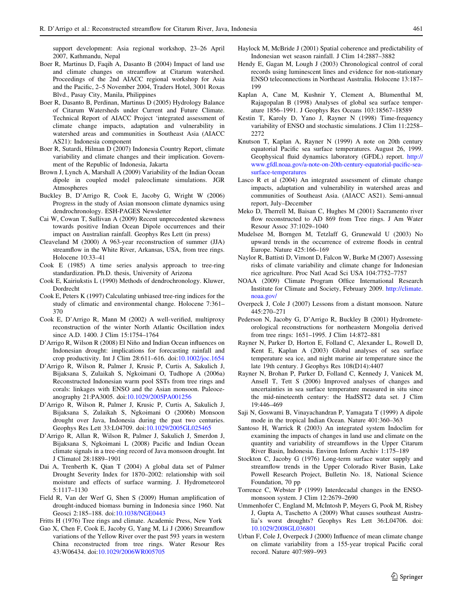<span id="page-10-0"></span>support development: Asia regional workshop, 23–26 April 2007, Kathmandu, Nepal

- Boer R, Martinus D, Faqih A, Dasanto B (2004) Impact of land use and climate changes on streamflow at Citarum watershed. Proceedings of the 2nd AIACC regional workshop for Asia and the Pacific, 2–5 November 2004, Traders Hotel, 3001 Roxas Blvd., Pasay City, Manila, Philippines
- Boer R, Dasanto B, Perdinan, Martinus D (2005) Hydrology Balance of Citarum Watersheds under Current and Future Climate. Technical Report of AIACC Project 'integrated assessment of climate change impacts, adaptation and vulnerability in watershed areas and communities in Southeast Asia (AIACC AS21): Indonesia component
- Boer R, Sutardi, Hilman D (2007) Indonesia Country Report, climate variability and climate changes and their implication. Government of the Republic of Indonesia, Jakarta
- Brown J, Lynch A, Marshall A (2009) Variability of the Indian Ocean dipole in coupled model paleoclimate simulations. JGR Atmospheres
- Buckley B, D'Arrigo R, Cook E, Jacoby G, Wright W (2006) Progress in the study of Asian monsoon climate dynamics using dendrochronology. ESH-PAGES Newsletter
- Cai W, Cowan T, Sullivan A (2009) Recent unprecedented skewness towards positive Indian Ocean Dipole occurrences and their impact on Australian rainfall. Geophys Res Lett (in press)
- Cleaveland M (2000) A 963-year reconstruction of summer (JJA) streamflow in the White River, Arkansas, USA, from tree rings. Holocene 10:33–41
- Cook E (1985) A time series analysis approach to tree-ring standardization. Ph.D. thesis, University of Arizona
- Cook E, Kairiukstis L (1990) Methods of dendrochronology. Kluwer, Dordrecht
- Cook E, Peters K (1997) Calculating unbiased tree-ring indices for the study of climatic and environmental change. Holocene 7:361– 370
- Cook E, D'Arrigo R, Mann M (2002) A well-verified, multiproxy reconstruction of the winter North Atlantic Oscillation index since A.D. 1400. J Clim 15:1754–1764
- D'Arrigo R, Wilson R (2008) El Niño and Indian Ocean influences on Indonesian drought: implications for forecasting rainfall and crop productivity. Int J Clim 28:611–616. doi[:10.1002/joc.1654](http://dx.doi.org/10.1002/joc.1654)
- D'Arrigo R, Wilson R, Palmer J, Krusic P, Curtis A, Sakulich J, Bijaksana S, Zulaikah S, Ngkoimani O, Tudhope A (2006a) Reconstructed Indonesian warm pool SSTs from tree rings and corals: linkages with ENSO and the Asian monsoon. Paleoceanography 21:PA3005. doi[:10.1029/2005PA001256](http://dx.doi.org/10.1029/2005PA001256)
- D'Arrigo R, Wilson R, Palmer J, Krusic P, Curtis A, Sakulich J, Bijaksana S, Zulaikah S, Ngkoimani O (2006b) Monsoon drought over Java, Indonesia during the past two centuries. Geophys Res Lett 33:L04709. doi[:10.1029/2005GL025465](http://dx.doi.org/10.1029/2005GL025465)
- D'Arrigo R, Allan R, Wilson R, Palmer J, Sakulich J, Smerdon J, Bijaksana S, Ngkoimani L (2008) Pacific and Indian Ocean climate signals in a tree-ring record of Java monsoon drought. Int J Climatol 28:1889–1901
- Dai A, Trenberth K, Qian T (2004) A global data set of Palmer Drought Severity Index for 1870–2002: relationship with soil moisture and effects of surface warming. J. Hydrometeorol 5:1117–1130
- Field R, Van der Werf G, Shen S (2009) Human amplification of drought-induced biomass burning in Indonesia since 1960. Nat Geosci 2:185–188. doi:[10.1038/NGE0443](http://dx.doi.org/10.1038/NGE0443)
- Fritts H (1976) Tree rings and climate. Academic Press, New York
- Gao X, Chen F, Cook E, Jacoby G, Yang M, Li J (2006) Streamflow variations of the Yellow River over the past 593 years in western China reconstructed from tree rings. Water Resour Res 43:W06434. doi[:10.1029/2006WR005705](http://dx.doi.org/10.1029/2006WR005705)
- Haylock M, McBride J (2001) Spatial coherence and predictability of Indonesian wet season rainfall. J Clim 14:2887–3882
- Hendy E, Gagan M, Lough J (2003) Chronological control of coral records using luminescent lines and evidence for non-stationary ENSO teleconnections in Northeast Australia. Holocene 13:187– 199
- Kaplan A, Cane M, Kushnir Y, Clement A, Blumenthal M, Rajagopalan B (1998) Analyses of global sea surface temperature 1856–1991. J Geophys Res Oceans 103:18567–18589
- Kestin T, Karoly D, Yano J, Rayner N (1998) Time-frequency variability of ENSO and stochastic simulations. J Clim 11:2258– 2272
- Knutson T, Kaplan A, Rayner N (1999) A note on 20th century equatorial Pacific sea surface temperatures. August 26, 1999. Geophysical fluid dynamics laboratory (GFDL) report. [http://](http://www.gfdl.noaa.gov/a-note-on-20th-century-equatorial-pacific-sea-surface-temperatures) [www.gfdl.noaa.gov/a-note-on-20th-century-equatorial-pacific-sea](http://www.gfdl.noaa.gov/a-note-on-20th-century-equatorial-pacific-sea-surface-temperatures)[surface-temperatures](http://www.gfdl.noaa.gov/a-note-on-20th-century-equatorial-pacific-sea-surface-temperatures)
- Lasco R et al (2004) An integrated assessment of climate change impacts, adaptation and vulnerability in watershed areas and communities of Southeast Asia. (AIACC AS21). Semi-annual report, July–December
- Meko D, Therrell M, Baisan C, Hughes M (2001) Sacramento river flow reconstructed to AD 869 from Tree rings. J Am Water Resour Assoc 37:1029–1040
- Mudelsee M, Borngen M, Tetzlaff G, Grunewald U (2003) No upward trends in the occurrence of extreme floods in central Europe. Nature 425:166–169
- Naylor R, Battisti D, Vimont D, Falcon W, Burke M (2007) Assessing risks of climate variability and climate change for Indonesian rice agriculture. Proc Natl Acad Sci USA 104:7752–7757
- NOAA (2009) Climate Program Office International Research Institute for Climate and Society, February 2009. [http://climate.](http://climate.noaa.gov/) [noaa.gov/](http://climate.noaa.gov/)
- Overpeck J, Cole J (2007) Lessons from a distant monsoon. Nature 445:270–271
- Pederson N, Jacoby G, D'Arrigo R, Buckley B (2001) Hydrometeorological reconstructions for northeastern Mongolia derived from tree rings: 1651–1995. J Clim 14:872–881
- Rayner N, Parker D, Horton E, Folland C, Alexander L, Rowell D, Kent E, Kaplan A (2003) Global analyses of sea surface temperature sea ice, and night marine air temperature since the late 19th century. J Geophys Res 108(D14):4407
- Rayner N, Brohan P, Parker D, Folland C, Kennedy J, Vanicek M, Ansell T, Tett S (2006) Improved analyses of changes and uncertainties in sea surface temperature measured in situ since the mid-nineteenth century: the HadSST2 data set. J Clim 19:446–469
- Saji N, Goswami B, Vinayachandran P, Yamagata T (1999) A dipole mode in the tropical Indian Ocean. Nature 401:360–363
- Santoso H, Warrick R (2003) An integrated system Indoclim for examining the impacts of changes in land use and climate on the quantity and variability of streamflows in the Upper Citarum River Basin, Indonesia. Environ Inform Archiv 1:175–189
- Stockton C, Jacoby G (1976) Long-term surface water supply and streamflow trends in the Upper Colorado River Basin, Lake Powell Research Project, Bulletin No. 18, National Science Foundation, 70 pp
- Torrence C, Webster P (1999) Interdecadal changes in the ENSOmonsoon system. J Clim 12:2679–2690
- Ummenhofer C, England M, McIntosh P, Meyers G, Pook M, Risbey J, Gupta A, Taschetto A (2009) What causes southeast Australia's worst droughts? Geophys Res Lett 36:L04706. doi: [10.1029/2008GL036801](http://dx.doi.org/10.1029/2008GL036801)
- Urban F, Cole J, Overpeck J (2000) Influence of mean climate change on climate variability from a 155-year tropical Pacific coral record. Nature 407:989–993